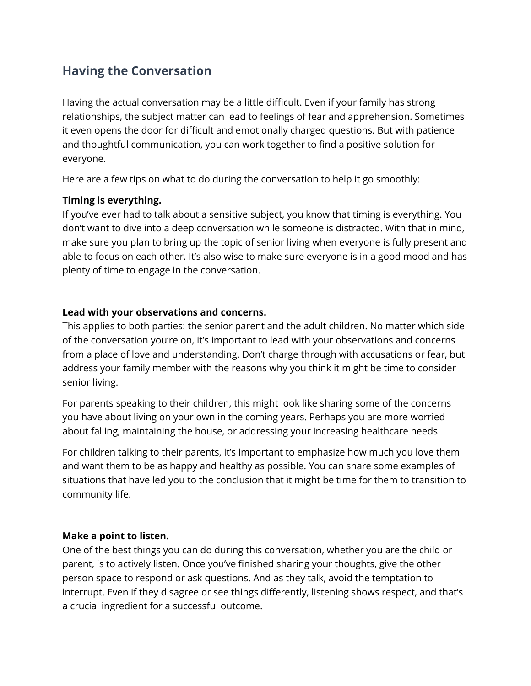# **Having the Conversation**

Having the actual conversation may be a little difficult. Even if your family has strong relationships, the subject matter can lead to feelings of fear and apprehension. Sometimes it even opens the door for difficult and emotionally charged questions. But with patience and thoughtful communication, you can work together to find a positive solution for everyone.

Here are a few tips on what to do during the conversation to help it go smoothly:

## **Timing is everything.**

If you've ever had to talk about a sensitive subject, you know that timing is everything. You don't want to dive into a deep conversation while someone is distracted. With that in mind, make sure you plan to bring up the topic of senior living when everyone is fully present and able to focus on each other. It's also wise to make sure everyone is in a good mood and has plenty of time to engage in the conversation.

## **Lead with your observations and concerns.**

This applies to both parties: the senior parent and the adult children. No matter which side of the conversation you're on, it's important to lead with your observations and concerns from a place of love and understanding. Don't charge through with accusations or fear, but address your family member with the reasons why you think it might be time to consider senior living.

For parents speaking to their children, this might look like sharing some of the concerns you have about living on your own in the coming years. Perhaps you are more worried about falling, maintaining the house, or addressing your increasing healthcare needs.

For children talking to their parents, it's important to emphasize how much you love them and want them to be as happy and healthy as possible. You can share some examples of situations that have led you to the conclusion that it might be time for them to transition to community life.

#### **Make a point to listen.**

One of the best things you can do during this conversation, whether you are the child or parent, is to actively listen. Once you've finished sharing your thoughts, give the other person space to respond or ask questions. And as they talk, avoid the temptation to interrupt. Even if they disagree or see things differently, listening shows respect, and that's a crucial ingredient for a successful outcome.